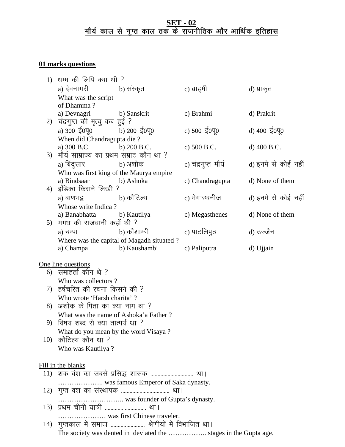## **SET - 02** <u>मौर्य काल से गुप्त काल तक के राजनीतिक और आर्थिक इतिहास</u>

# **01 marks questions**

| 1)                                     | धम्म की लिपि क्या थी ?                            |                                                                  |                          |                      |
|----------------------------------------|---------------------------------------------------|------------------------------------------------------------------|--------------------------|----------------------|
|                                        | a) देवनागरी                                       | b) संस्कृत                                                       | c) ब्राहमी               | d) प्राकृत           |
|                                        | What was the script                               |                                                                  |                          |                      |
|                                        | of Dhamma?                                        |                                                                  |                          |                      |
|                                        | a) Devnagri                                       | b) Sanskrit                                                      | c) Brahmi                | d) Prakrit           |
| 2)                                     | चंद्रगुप्त की मृत्यु कब हुई ?                     |                                                                  |                          |                      |
|                                        | a) 300 $\frac{200}{100}$ b) 200 $\frac{200}{100}$ |                                                                  | c) 500 $\frac{1}{5}$ 040 | d) 400 ई0पू0         |
|                                        | When did Chandragupta die ?                       |                                                                  |                          |                      |
|                                        | a) 300 B.C.                                       | b) $200 B.C.$                                                    | c) 500 B.C.              | d) 400 B.C.          |
| 3)                                     | मौर्य साम्राज्य का प्रथम सम्राट कौन था ?          |                                                                  |                          |                      |
|                                        | a) बिंदुसार                                       | b) अशोक                                                          | c) चंद्रगुप्त मौर्य      | d) इनमें से कोई नहीं |
|                                        | Who was first king of the Maurya empire           |                                                                  |                          |                      |
|                                        | a) Bindsaar                                       | b) Ashoka                                                        | c) Chandragupta          | d) None of them      |
| 4)                                     | इंडिका किसने लिखी ?                               |                                                                  |                          |                      |
|                                        | a) बाणभट्ट                 b) कौटिल्य             |                                                                  | c) मेगास्थनीज            | d) इनमें से कोई नहीं |
|                                        | Whose write Indica?                               |                                                                  |                          |                      |
|                                        | a) Banabhatta b) Kautilya                         |                                                                  | c) Megasthenes           | d) None of them      |
|                                        | 5) मगध की राजधानी कहाँ थी ?                       |                                                                  |                          |                      |
|                                        | a) चम्पा                   b) कौशाम्बी            |                                                                  | c) पाटलिपुत्र            | d) उज्जैन            |
|                                        |                                                   | Where was the capital of Magadh situated?                        |                          |                      |
|                                        | a) Champa                                         | b) Kaushambi                                                     | c) Paliputra             | d) Ujjain            |
|                                        |                                                   |                                                                  |                          |                      |
|                                        | One line questions                                |                                                                  |                          |                      |
|                                        | 6) समाहर्ता कौन थे ?                              |                                                                  |                          |                      |
|                                        | Who was collectors?                               |                                                                  |                          |                      |
|                                        | 7)  हर्षचरित की रचना किसने की ?                   |                                                                  |                          |                      |
|                                        | Who wrote 'Harsh charita'?                        |                                                                  |                          |                      |
|                                        | 8) अशोक के पिता का क्या नाम था ?                  |                                                                  |                          |                      |
|                                        | What was the name of Ashoka'a Father?             |                                                                  |                          |                      |
|                                        | 9) विषय शब्द से क्या तात्पर्य था ?                |                                                                  |                          |                      |
|                                        | What do you mean by the word Visaya?              |                                                                  |                          |                      |
|                                        | 10) कौटिल्य कौन था ?                              |                                                                  |                          |                      |
|                                        | Who was Kautilya?                                 |                                                                  |                          |                      |
|                                        |                                                   |                                                                  |                          |                      |
| Fill in the blanks                     |                                                   |                                                                  |                          |                      |
| 11)  शक वंश का सबसे प्रसिद्ध शासक  था। |                                                   |                                                                  |                          |                      |
|                                        | was famous Emperor of Saka dynasty.               |                                                                  |                          |                      |
|                                        |                                                   |                                                                  |                          |                      |
|                                        |                                                   |                                                                  |                          |                      |
|                                        | 13) प्रथम चीनी यात्री  था।                        |                                                                  |                          |                      |
|                                        | was first Chinese traveler.                       |                                                                  |                          |                      |
|                                        |                                                   | 14)  गुप्तकाल में समाज …………………… श्रेणीयों में विभाजित था।        |                          |                      |
|                                        |                                                   | The society was dented in deviated the  stages in the Gupta age. |                          |                      |
|                                        |                                                   |                                                                  |                          |                      |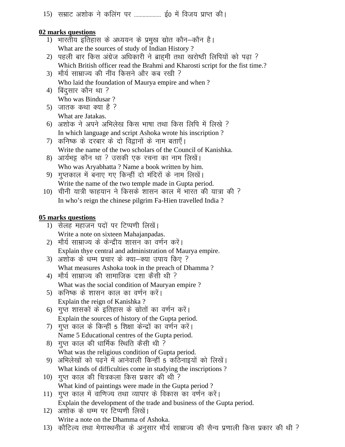15) सम्राट अशोक ने कलिंग पर .................... ई0 में विजय प्राप्त की।

#### **02 marks questions**

- 1) भारतीय इतिहास के अध्ययन के प्रमुख स्रोत कौन–कौन है। What are the sources of study of Indian History ?
- 2) पहली बार किस अंग्रेज अधिकारी ने ब्राहमी तथा खरोष्ठी लिपियों को पढ़ा ? Which British officer read the Brahmi and Kharosti script for the fist time.?
- 3) मौर्य साम्राज्य की नींव किसने और कब रखी ? Who laid the foundation of Maurya empire and when ?
- $4)$  बिंदुसार कौन था ? Who was Bindusar ?
- 5) जातक कथा क्या है ? What are Jatakas.
- 6) अशोक ने अपने अभिलेख किस भाषा तथा किस लिपि में लिखे ? In which language and script Ashoka wrote his inscription ?
- 7) कनिष्क के दरबार के दो विद्वानों के नाम बताएँ। Write the name of the two scholars of the Council of Kanishka.
- 8) आर्यभट्ट कौन था ? उसकी एक रचना का नाम लिखें। Who was Aryabhatta ? Name a book written by him.
- 9) गुप्तकाल में बनाए गए किन्हीं दो मंदिरों के नाम लिखें। Write the name of the two temple made in Gupta period.
- 10) चीनी यात्री फाहयान ने किसके शासन काल में भारत की यात्रा की ? In who's reign the chinese pilgrim Fa-Hien travelled India ?

## **05 marks questions**

- 1) सेलह महाजन पदों पर टिप्पणी लिखें। Write a note on sixteen Mahajanpadas.
- 2) मौर्य साम्राज्य के केन्द्रीय शासन का वर्णन करें। Explain thye central and administration of Maurya empire.
- 3) अशोक के धम्म प्रचार के क्या—क्या उपाय किए ? What measures Ashoka took in the preach of Dhamma ?
- 4) मौर्य साम्राज्य की सामाजिक दशा कैसी थी ? What was the social condition of Mauryan empire ?
- 5) कनिष्क के शासन काल का वर्णन करें। Explain the reign of Kanishka ?
- 6) गुप्त शासकों के इतिहास के स्रोतों का वर्णन करें। Explain the sources of history of the Gupta period.
- 7) गुप्त काल के किन्हीं 5 शिक्षा केन्द्रों का वर्णन करें। Name 5 Educational centres of the Gupta period.
- 8) गुप्त काल की धार्मिक स्थिति कैसी थी ? What was the religious condition of Gupta period.
- 9) अभिलेखों को पढने में आनेवाली किन्हीं 5 कठिनाइयों को लिखें। What kinds of difficulties come in studying the inscriptions ?
- 10) गुप्त काल की चित्रकला किस प्रकार की थी ? What kind of paintings were made in the Gupta period ?
- 11) गुप्त काल में वाणिज्य तथा व्यापार के विकास का वर्णन करें। Explain the development of the trade and business of the Gupta period.
- 12) अशोक के धम्म पर टिप्पणी लिखें। Write a note on the Dhamma of Ashoka.
- 13) कौटिल्य तथा मेगास्थनीज के अनुसार मौर्य साम्राज्य की सैन्य प्रणाली किस प्रकार की थी ?